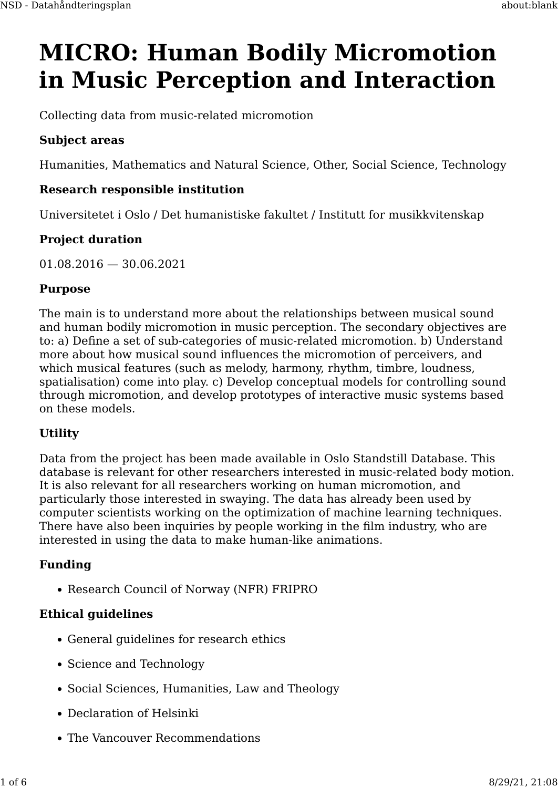# **MICRO: Human Bodily Micromotion in Music Perception and Interaction**

Collecting data from music-related micromotion

# **Subject areas**

Humanities, Mathematics and Natural Science, Other, Social Science, Technology

# **Research responsible institution**

Universitetet i Oslo / Det humanistiske fakultet / Institutt for musikkvitenskap

# **Project duration**

01.08.2016 — 30.06.2021

#### **Purpose**

The main is to understand more about the relationships between musical sound and human bodily micromotion in music perception. The secondary objectives are to: a) Define a set of sub-categories of music-related micromotion. b) Understand more about how musical sound influences the micromotion of perceivers, and which musical features (such as melody, harmony, rhythm, timbre, loudness, spatialisation) come into play. c) Develop conceptual models for controlling sound through micromotion, and develop prototypes of interactive music systems based on these models.

#### **Utility**

Data from the project has been made available in Oslo Standstill Database. This database is relevant for other researchers interested in music-related body motion. It is also relevant for all researchers working on human micromotion, and particularly those interested in swaying. The data has already been used by computer scientists working on the optimization of machine learning techniques. There have also been inquiries by people working in the film industry, who are interested in using the data to make human-like animations.

#### **Funding**

• Research Council of Norway (NFR) FRIPRO

#### **Ethical guidelines**

- General guidelines for research ethics
- Science and Technology
- Social Sciences, Humanities, Law and Theology
- Declaration of Helsinki
- The Vancouver Recommendations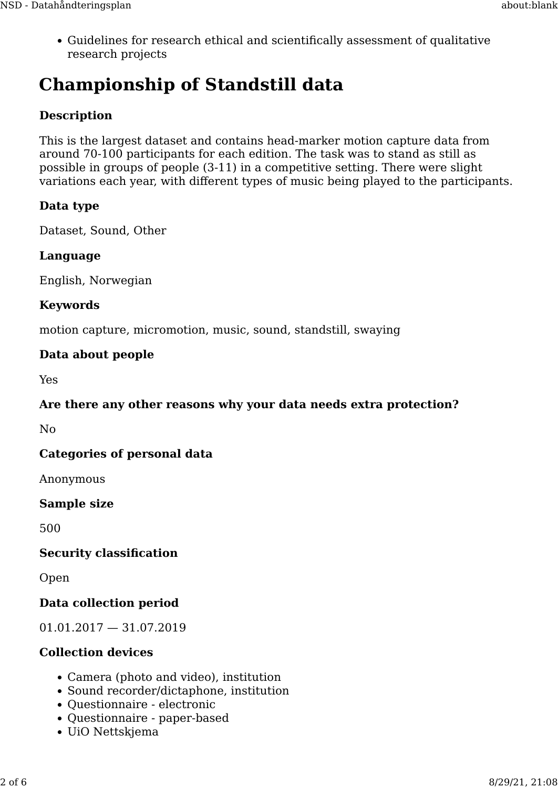• Guidelines for research ethical and scientifically assessment of qualitative research projects

# **Championship of Standstill data**

# **Description**

This is the largest dataset and contains head-marker motion capture data from around 70-100 participants for each edition. The task was to stand as still as possible in groups of people (3-11) in a competitive setting. There were slight variations each year, with different types of music being played to the participants.

# **Data type**

Dataset, Sound, Other

#### **Language**

English, Norwegian

# **Keywords**

motion capture, micromotion, music, sound, standstill, swaying

#### **Data about people**

Yes

#### **Are there any other reasons why your data needs extra protection?**

No

# **Categories of personal data**

Anonymous

#### **Sample size**

500

#### **Security classification**

Open

# **Data collection period**

01.01.2017 — 31.07.2019

# **Collection devices**

- Camera (photo and video), institution
- Sound recorder/dictaphone, institution
- Questionnaire electronic
- Questionnaire paper-based
- UiO Nettskjema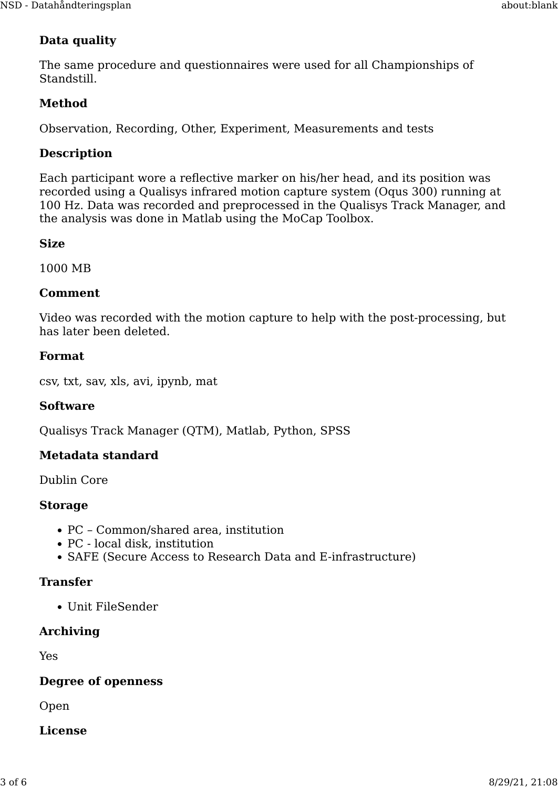# **Data quality**

The same procedure and questionnaires were used for all Championships of Standstill.

# **Method**

Observation, Recording, Other, Experiment, Measurements and tests

#### **Description**

Each participant wore a reflective marker on his/her head, and its position was recorded using a Qualisys infrared motion capture system (Oqus 300) running at 100 Hz. Data was recorded and preprocessed in the Qualisys Track Manager, and the analysis was done in Matlab using the MoCap Toolbox.

#### **Size**

1000 MB

#### **Comment**

Video was recorded with the motion capture to help with the post-processing, but has later been deleted.

#### **Format**

csv, txt, sav, xls, avi, ipynb, mat

#### **Software**

Qualisys Track Manager (QTM), Matlab, Python, SPSS

#### **Metadata standard**

Dublin Core

#### **Storage**

- PC Common/shared area, institution
- PC local disk, institution
- SAFE (Secure Access to Research Data and E-infrastructure)

#### **Transfer**

• Unit FileSender

#### **Archiving**

Yes

#### **Degree of openness**

Open

#### **License**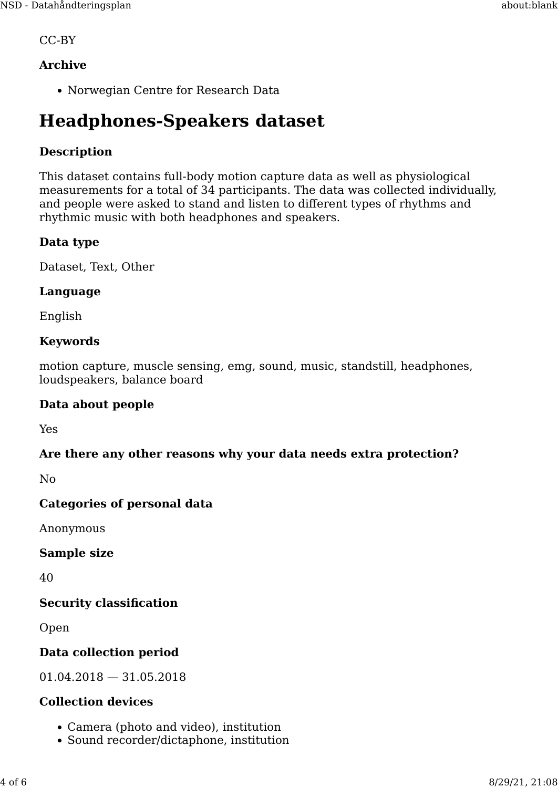CC-BY

# **Archive**

• Norwegian Centre for Research Data

# **Headphones-Speakers dataset**

# **Description**

This dataset contains full-body motion capture data as well as physiological measurements for a total of 34 participants. The data was collected individually, and people were asked to stand and listen to different types of rhythms and rhythmic music with both headphones and speakers.

#### **Data type**

Dataset, Text, Other

#### **Language**

English

#### **Keywords**

motion capture, muscle sensing, emg, sound, music, standstill, headphones, loudspeakers, balance board

#### **Data about people**

Yes

#### **Are there any other reasons why your data needs extra protection?**

 $N<sub>0</sub>$ 

# **Categories of personal data**

Anonymous

**Sample size**

40

#### **Security classification**

Open

# **Data collection period**

01.04.2018 — 31.05.2018

#### **Collection devices**

- Camera (photo and video), institution
- Sound recorder/dictaphone, institution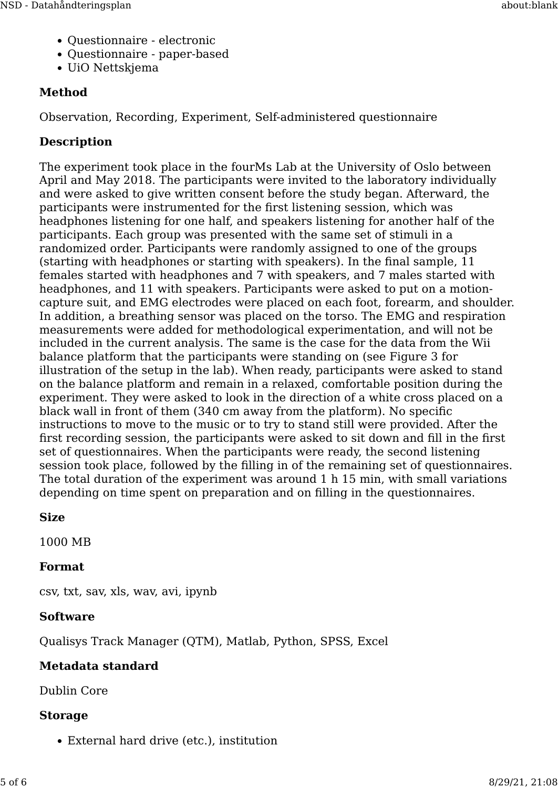- Questionnaire electronic
- Questionnaire paper-based
- UiO Nettskjema

# **Method**

Observation, Recording, Experiment, Self-administered questionnaire

# **Description**

The experiment took place in the fourMs Lab at the University of Oslo between April and May 2018. The participants were invited to the laboratory individually and were asked to give written consent before the study began. Afterward, the participants were instrumented for the first listening session, which was headphones listening for one half, and speakers listening for another half of the participants. Each group was presented with the same set of stimuli in a randomized order. Participants were randomly assigned to one of the groups (starting with headphones or starting with speakers). In the final sample, 11 females started with headphones and 7 with speakers, and 7 males started with headphones, and 11 with speakers. Participants were asked to put on a motioncapture suit, and EMG electrodes were placed on each foot, forearm, and shoulder. In addition, a breathing sensor was placed on the torso. The EMG and respiration measurements were added for methodological experimentation, and will not be included in the current analysis. The same is the case for the data from the Wii balance platform that the participants were standing on (see Figure 3 for illustration of the setup in the lab). When ready, participants were asked to stand on the balance platform and remain in a relaxed, comfortable position during the experiment. They were asked to look in the direction of a white cross placed on a black wall in front of them (340 cm away from the platform). No specific instructions to move to the music or to try to stand still were provided. After the first recording session, the participants were asked to sit down and fill in the first set of questionnaires. When the participants were ready, the second listening session took place, followed by the filling in of the remaining set of questionnaires. The total duration of the experiment was around 1 h 15 min, with small variations depending on time spent on preparation and on filling in the questionnaires.

# **Size**

1000 MB

# **Format**

csv, txt, sav, xls, wav, avi, ipynb

# **Software**

Qualisys Track Manager (QTM), Matlab, Python, SPSS, Excel

# **Metadata standard**

Dublin Core

# **Storage**

• External hard drive (etc.), institution